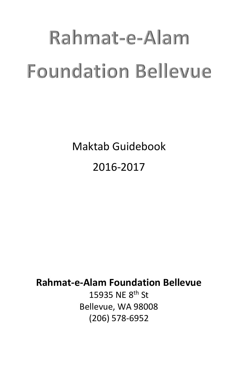# Rahmat-e-Alam **Foundation Bellevue**

Maktab Guidebook 2016-2017

# **Rahmat-e-Alam Foundation Bellevue**

15935 NE 8th St Bellevue, WA 98008 (206) 578-6952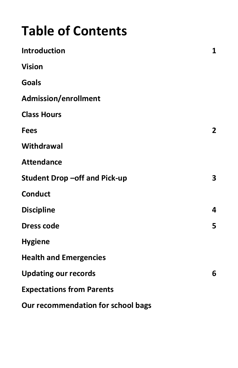# **Table of Contents**

| Introduction                        | 1                       |
|-------------------------------------|-------------------------|
| <b>Vision</b>                       |                         |
| <b>Goals</b>                        |                         |
| <b>Admission/enrollment</b>         |                         |
| <b>Class Hours</b>                  |                         |
| <b>Fees</b>                         | $\overline{\mathbf{c}}$ |
| Withdrawal                          |                         |
| <b>Attendance</b>                   |                         |
| <b>Student Drop-off and Pick-up</b> | 3                       |
| <b>Conduct</b>                      |                         |
| <b>Discipline</b>                   | 4                       |
| <b>Dress code</b>                   | 5                       |
| <b>Hygiene</b>                      |                         |
| <b>Health and Emergencies</b>       |                         |
| <b>Updating our records</b>         | 6                       |
| <b>Expectations from Parents</b>    |                         |
| Our recommendation for school bags  |                         |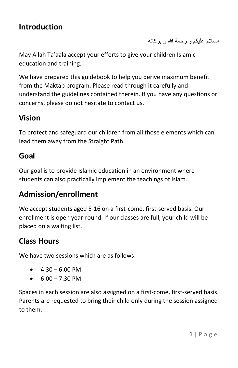#### **Introduction**

السلام عليكم و رحمة الله و بركاته

May Allah Ta'aala accept your efforts to give your children Islamic education and training.

We have prepared this guidebook to help you derive maximum benefit from the Maktab program. Please read through it carefully and understand the guidelines contained therein. If you have any questions or concerns, please do not hesitate to contact us.

#### **Vision**

To protect and safeguard our children from all those elements which can lead them away from the Straight Path.

#### **Goal**

Our goal is to provide Islamic education in an environment where students can also practically implement the teachings of Islam.

#### **Admission/enrollment**

We accept students aged 5-16 on a first-come, first-served basis. Our enrollment is open year-round. If our classes are full, your child will be placed on a waiting list.

#### **Class Hours**

We have two sessions which are as follows:

- $-4:30 6:00 \text{ PM}$
- $6:00 7:30 \text{ PM}$

Spaces in each session are also assigned on a first-come, first-served basis. Parents are requested to bring their child only during the session assigned to them.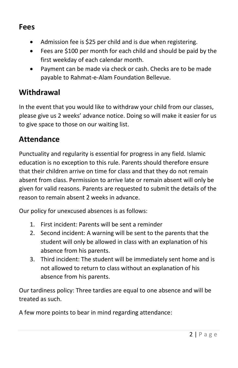#### **Fees**

- Admission fee is \$25 per child and is due when registering.
- Fees are \$100 per month for each child and should be paid by the first weekday of each calendar month.
- Payment can be made via check or cash. Checks are to be made payable to Rahmat-e-Alam Foundation Bellevue.

## **Withdrawal**

In the event that you would like to withdraw your child from our classes, please give us 2 weeks' advance notice. Doing so will make it easier for us to give space to those on our waiting list.

#### **Attendance**

Punctuality and regularity is essential for progress in any field. Islamic education is no exception to this rule. Parents should therefore ensure that their children arrive on time for class and that they do not remain absent from class. Permission to arrive late or remain absent will only be given for valid reasons. Parents are requested to submit the details of the reason to remain absent 2 weeks in advance.

Our policy for unexcused absences is as follows:

- 1. First incident: Parents will be sent a reminder
- 2. Second incident: A warning will be sent to the parents that the student will only be allowed in class with an explanation of his absence from his parents.
- 3. Third incident: The student will be immediately sent home and is not allowed to return to class without an explanation of his absence from his parents.

Our tardiness policy: Three tardies are equal to one absence and will be treated as such.

A few more points to bear in mind regarding attendance: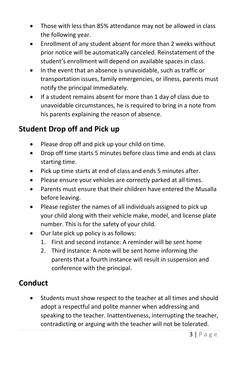- Those with less than 85% attendance may not be allowed in class the following year.
- Enrollment of any student absent for more than 2 weeks without prior notice will be automatically canceled. Reinstatement of the student's enrollment will depend on available spaces in class.
- In the event that an absence is unavoidable, such as traffic or transportation issues, family emergencies, or illness, parents must notify the principal immediately.
- If a student remains absent for more than 1 day of class due to unavoidable circumstances, he is required to bring in a note from his parents explaining the reason of absence.

# **Student Drop off and Pick up**

- Please drop off and pick up your child on time.
- Drop off time starts 5 minutes before class time and ends at class starting time.
- Pick up time starts at end of class and ends 5 minutes after.
- Please ensure your vehicles are correctly parked at all times.
- Parents must ensure that their children have entered the Musalla before leaving.
- Please register the names of all individuals assigned to pick up your child along with their vehicle make, model, and license plate number. This is for the safety of your child.
- Our late pick up policy is as follows:
	- 1. First and second instance: A reminder will be sent home
	- 2. Third instance: A note will be sent home informing the parents that a fourth instance will result in suspension and conference with the principal.

# **Conduct**

 Students must show respect to the teacher at all times and should adopt a respectful and polite manner when addressing and speaking to the teacher. Inattentiveness, interrupting the teacher, contradicting or arguing with the teacher will not be tolerated.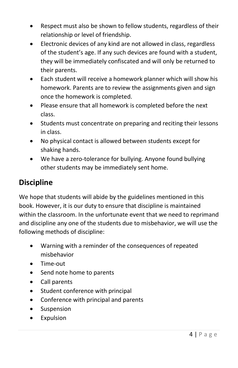- Respect must also be shown to fellow students, regardless of their relationship or level of friendship.
- Electronic devices of any kind are not allowed in class, regardless of the student's age. If any such devices are found with a student, they will be immediately confiscated and will only be returned to their parents.
- Each student will receive a homework planner which will show his homework. Parents are to review the assignments given and sign once the homework is completed.
- Please ensure that all homework is completed before the next class.
- Students must concentrate on preparing and reciting their lessons in class.
- No physical contact is allowed between students except for shaking hands.
- We have a zero-tolerance for bullying. Anyone found bullying other students may be immediately sent home.

# **Discipline**

We hope that students will abide by the guidelines mentioned in this book. However, it is our duty to ensure that discipline is maintained within the classroom. In the unfortunate event that we need to reprimand and discipline any one of the students due to misbehavior, we will use the following methods of discipline:

- Warning with a reminder of the consequences of repeated misbehavior
- Time-out
- Send note home to parents
- Call parents
- Student conference with principal
- Conference with principal and parents
- Suspension
- Expulsion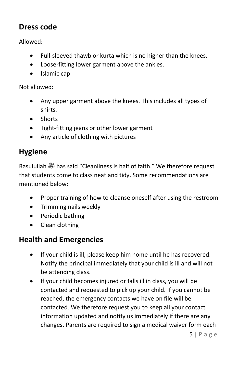#### **Dress code**

Allowed:

- Full-sleeved thawb or kurta which is no higher than the knees.
- Loose-fitting lower garment above the ankles.
- Islamic cap

Not allowed:

- Any upper garment above the knees. This includes all types of shirts.
- **Shorts**
- Tight-fitting jeans or other lower garment
- Any article of clothing with pictures

# **Hygiene**

Rasulullah  $\ddot{\textbf{\text{}}}$  has said "Cleanliness is half of faith." We therefore request that students come to class neat and tidy. Some recommendations are mentioned below:

- Proper training of how to cleanse oneself after using the restroom
- Trimming nails weekly
- Periodic bathing
- Clean clothing

## **Health and Emergencies**

- If your child is ill, please keep him home until he has recovered. Notify the principal immediately that your child is ill and will not be attending class.
- If your child becomes injured or falls ill in class, you will be contacted and requested to pick up your child. If you cannot be reached, the emergency contacts we have on file will be contacted. We therefore request you to keep all your contact information updated and notify us immediately if there are any changes. Parents are required to sign a medical waiver form each